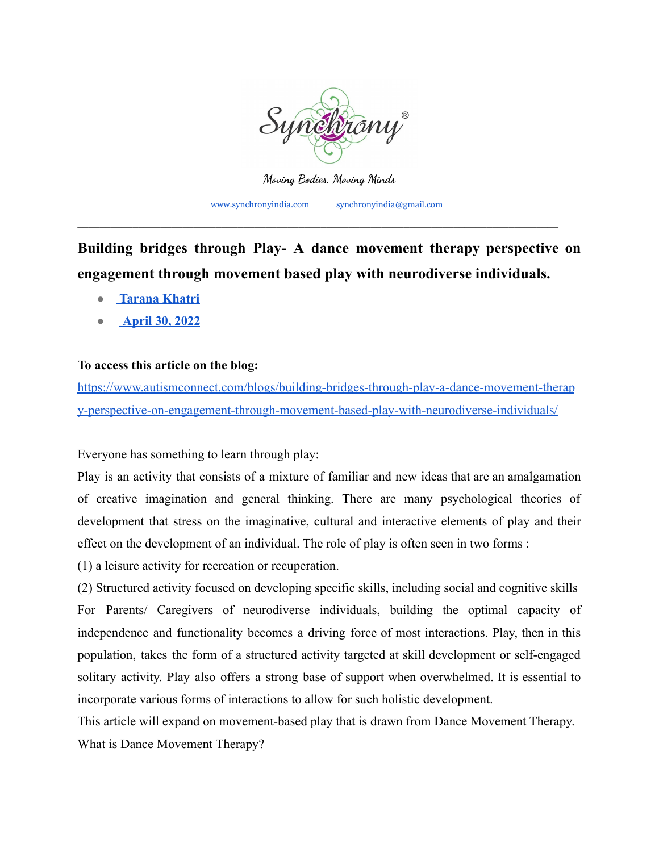

**Moving Bodies. Moving Minds** [www.synchronyindia.com](http://www.synchronyindia.com) [synchronyindia@gmail.com](mailto:synchronyindia@gmail.com)

**Building bridges through Play- A dance movement therapy perspective on engagement through movement based play with neurodiverse individuals.**

\_\_\_\_\_\_\_\_\_\_\_\_\_\_\_\_\_\_\_\_\_\_\_\_\_\_\_\_\_\_\_\_\_\_\_\_\_\_\_\_\_\_\_\_\_\_\_\_\_\_\_\_\_\_\_\_\_\_\_\_\_\_\_\_\_\_\_\_\_\_\_\_\_\_\_\_\_\_\_\_\_\_\_\_\_\_\_

- **● [Tarana Khatri](https://www.autismconnect.com/blogs/author/tarana-khatri/)**
- **● [April 30, 2022](https://www.autismconnect.com/blogs/building-bridges-through-play-a-dance-movement-therapy-perspective-on-engagement-through-movement-based-play-with-neurodiverse-individuals/)**

## **To access this article on the blog:**

[https://www.autismconnect.com/blogs/building-bridges-through-play-a-dance-movement-therap](https://www.autismconnect.com/blogs/building-bridges-through-play-a-dance-movement-therapy-perspective-on-engagement-through-movement-based-play-with-neurodiverse-individuals/) [y-perspective-on-engagement-through-movement-based-play-with-neurodiverse-individuals/](https://www.autismconnect.com/blogs/building-bridges-through-play-a-dance-movement-therapy-perspective-on-engagement-through-movement-based-play-with-neurodiverse-individuals/)

Everyone has something to learn through play:

Play is an activity that consists of a mixture of familiar and new ideas that are an amalgamation of creative imagination and general thinking. There are many psychological theories of development that stress on the imaginative, cultural and interactive elements of play and their effect on the development of an individual. The role of play is often seen in two forms :

(1) a leisure activity for recreation or recuperation.

(2) Structured activity focused on developing specific skills, including social and cognitive skills For Parents/ Caregivers of neurodiverse individuals, building the optimal capacity of independence and functionality becomes a driving force of most interactions. Play, then in this population, takes the form of a structured activity targeted at skill development or self-engaged solitary activity. Play also offers a strong base of support when overwhelmed. It is essential to incorporate various forms of interactions to allow for such holistic development.

This article will expand on movement-based play that is drawn from Dance Movement Therapy. What is Dance Movement Therapy?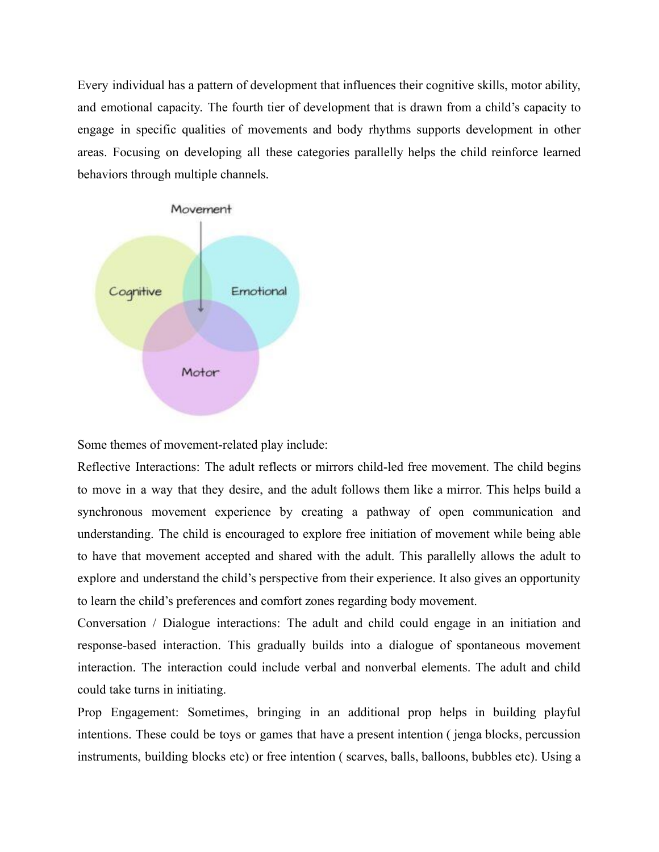Every individual has a pattern of development that influences their cognitive skills, motor ability, and emotional capacity. The fourth tier of development that is drawn from a child's capacity to engage in specific qualities of movements and body rhythms supports development in other areas. Focusing on developing all these categories parallelly helps the child reinforce learned behaviors through multiple channels.



Some themes of movement-related play include:

Reflective Interactions: The adult reflects or mirrors child-led free movement. The child begins to move in a way that they desire, and the adult follows them like a mirror. This helps build a synchronous movement experience by creating a pathway of open communication and understanding. The child is encouraged to explore free initiation of movement while being able to have that movement accepted and shared with the adult. This parallelly allows the adult to explore and understand the child's perspective from their experience. It also gives an opportunity to learn the child's preferences and comfort zones regarding body movement.

Conversation / Dialogue interactions: The adult and child could engage in an initiation and response-based interaction. This gradually builds into a dialogue of spontaneous movement interaction. The interaction could include verbal and nonverbal elements. The adult and child could take turns in initiating.

Prop Engagement: Sometimes, bringing in an additional prop helps in building playful intentions. These could be toys or games that have a present intention ( jenga blocks, percussion instruments, building blocks etc) or free intention ( scarves, balls, balloons, bubbles etc). Using a